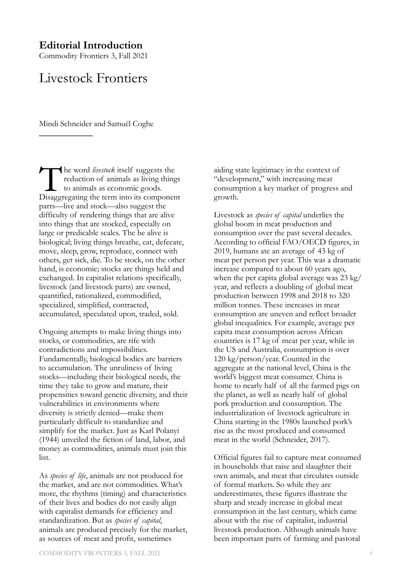### **Editorial Introduction**

Commodity Frontiers 3, Fall 2021

### Livestock Frontiers

Mindi Schneider and Samuël Coghe

\_\_\_\_\_\_\_\_\_\_\_\_\_

The word *livestock* itself suggests the reduction of animals as living thing to animals as economic goods.<br>Disaggregating the term into its componer reduction of animals as living things to animals as economic goods. Disaggregating the term into its component parts—live and stock—also suggest the difficulty of rendering things that are alive into things that are stocked, especially on large or predicable scales. The be alive is biological; living things breathe, eat, defecate, move, sleep, grow, reproduce, connect with others, get sick, die. To be stock, on the other hand, is economic; stocks are things held and exchanged. In capitalist relations specifically, livestock (and livestock parts) are owned, quantified, rationalized, commodified, specialized, simplified, contracted, accumulated, speculated upon, traded, sold.

Ongoing attempts to make living things into stocks, or commodities, are rife with contradictions and impossibilities. Fundamentally, biological bodies are barriers to accumulation. The unruliness of living stocks—including their biological needs, the time they take to grow and mature, their propensities toward genetic diversity, and their vulnerabilities in environments where diversity is strictly denied—make them particularly difficult to standardize and simplify for the market. Just as Karl Polanyi (1944) unveiled the fiction of land, labor, and money as commodities, animals must join this list.

As *species of life*, animals are not produced for the market, and are not commodities. What's more, the rhythms (timing) and characteristics of their lives and bodies do not easily align with capitalist demands for efficiency and standardization. But as *species of capital*, animals are produced precisely for the market, as sources of meat and profit, sometimes

aiding state legitimacy in the context of "development," with increasing meat consumption a key marker of progress and growth.

Livestock as *species of capital* underlies the global boom in meat production and consumption over the past several decades. According to official FAO/OECD figures, in 2019, humans ate an average of 43 kg of meat per person per year. This was a dramatic increase compared to about 60 years ago, when the per capita global average was 23 kg/ year, and reflects a doubling of global meat production between 1998 and 2018 to 320 million tonnes. These increases in meat consumption are uneven and reflect broader global inequalities. For example, average per capita meat consumption across African countries is 17 kg of meat per year, while in the US and Australia, consumption is over 120 kg/person/year. Counted in the aggregate at the national level, China is the world's biggest meat consumer. China is home to nearly half of all the farmed pigs on the planet, as well as nearly half of global pork production and consumption. The industrialization of livestock agriculture in China starting in the 1980s launched pork's rise as the most produced and consumed meat in the world (Schneider, 2017).

Official figures fail to capture meat consumed in households that raise and slaughter their own animals, and meat that circulates outside of formal markets. So while they are underestimates, these figures illustrate the sharp and steady increase in global meat consumption in the last century, which came about with the rise of capitalist, industrial livestock production. Although animals have been important parts of farming and pastoral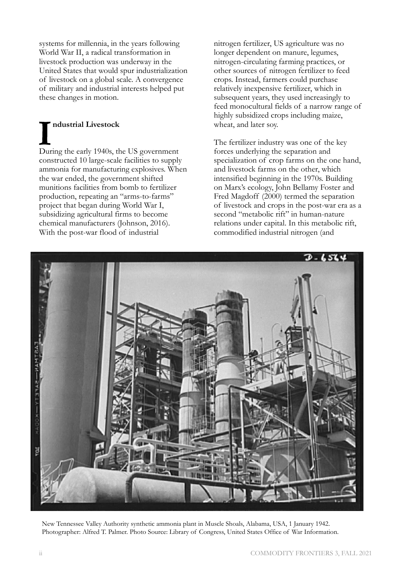systems for millennia, in the years following World War II, a radical transformation in livestock production was underway in the United States that would spur industrialization of livestock on a global scale. A convergence of military and industrial interests helped put these changes in motion.

## **I** During the early 1940s, the US government **ndustrial Livestock**

constructed 10 large-scale facilities to supply ammonia for manufacturing explosives. When the war ended, the government shifted munitions facilities from bomb to fertilizer production, repeating an "arms-to-farms" project that began during World War I, subsidizing agricultural firms to become chemical manufacturers (Johnson, 2016). With the post-war flood of industrial

nitrogen fertilizer, US agriculture was no longer dependent on manure, legumes, nitrogen-circulating farming practices, or other sources of nitrogen fertilizer to feed crops. Instead, farmers could purchase relatively inexpensive fertilizer, which in subsequent years, they used increasingly to feed monocultural fields of a narrow range of highly subsidized crops including maize, wheat, and later soy.

The fertilizer industry was one of the key forces underlying the separation and specialization of crop farms on the one hand, and livestock farms on the other, which intensified beginning in the 1970s. Building on Marx's ecology, John Bellamy Foster and Fred Magdoff (2000) termed the separation of livestock and crops in the post-war era as a second "metabolic rift" in human-nature relations under capital. In this metabolic rift, commodified industrial nitrogen (and



New Tennessee Valley Authority synthetic ammonia plant in Muscle Shoals, Alabama, USA, 1 January 1942. Photographer: Alfred T. Palmer. Photo Source: Library of Congress, United States Office of War Information.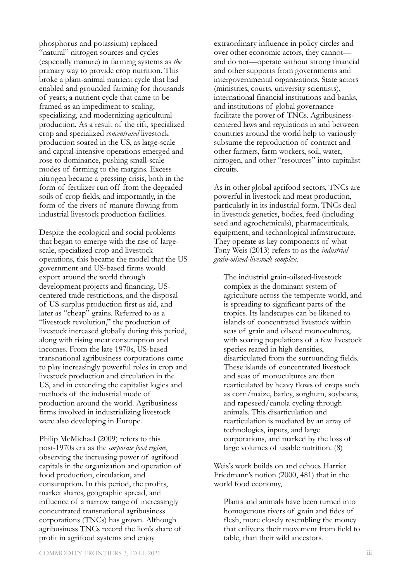phosphorus and potassium) replaced "natural" nitrogen sources and cycles (especially manure) in farming systems as *the* primary way to provide crop nutrition. This broke a plant-animal nutrient cycle that had enabled and grounded farming for thousands of years; a nutrient cycle that came to be framed as an impediment to scaling, specializing, and modernizing agricultural production. As a result of the rift, specialized crop and specialized *concentrated* livestock production soared in the US, as large-scale and capital-intensive operations emerged and rose to dominance, pushing small-scale modes of farming to the margins. Excess nitrogen became a pressing crisis, both in the form of fertilizer run off from the degraded soils of crop fields, and importantly, in the form of the rivers of manure flowing from industrial livestock production facilities.

Despite the ecological and social problems that began to emerge with the rise of largescale, specialized crop and livestock operations, this became the model that the US government and US-based firms would export around the world through development projects and financing, UScentered trade restrictions, and the disposal of US surplus production first as aid, and later as "cheap" grains. Referred to as a "livestock revolution," the production of livestock increased globally during this period, along with rising meat consumption and incomes. From the late 1970s, US-based transnational agribusiness corporations came to play increasingly powerful roles in crop and livestock production and circulation in the US, and in extending the capitalist logics and methods of the industrial mode of production around the world. Agribusiness firms involved in industrializing livestock were also developing in Europe.

Philip McMichael (2009) refers to this post-1970s era as the *corporate food regime*, observing the increasing power of agrifood capitals in the organization and operation of food production, circulation, and consumption. In this period, the profits, market shares, geographic spread, and influence of a narrow range of increasingly concentrated transnational agribusiness corporations (TNCs) has grown. Although agribusiness TNCs record the lion's share of profit in agrifood systems and enjoy

extraordinary influence in policy circles and over other economic actors, they cannot and do not—operate without strong financial and other supports from governments and intergovernmental organizations. State actors (ministries, courts, university scientists), international financial institutions and banks, and institutions of global governance facilitate the power of TNCs. Agribusinesscentered laws and regulations in and between countries around the world help to variously subsume the reproduction of contract and other farmers, farm workers, soil, water, nitrogen, and other "resources" into capitalist circuits.

As in other global agrifood sectors, TNCs are powerful in livestock and meat production, particularly in its industrial form. TNCs deal in livestock genetics, bodies, feed (including seed and agrochemicals), pharmaceuticals, equipment, and technological infrastructure. They operate as key components of what Tony Weis (2013) refers to as the *industrial grain-oilseed-livestock complex*.

The industrial grain-oilseed-livestock complex is the dominant system of agriculture across the temperate world, and is spreading to significant parts of the tropics. Its landscapes can be likened to islands of concentrated livestock within seas of grain and oilseed monocultures, with soaring populations of a few livestock species reared in high densities, disarticulated from the surrounding fields. These islands of concentrated livestock and seas of monocultures are then rearticulated by heavy flows of crops such as corn/maize, barley, sorghum, soybeans, and rapeseed/canola cycling through animals. This disarticulation and rearticulation is mediated by an array of technologies, inputs, and large corporations, and marked by the loss of large volumes of usable nutrition. (8)

Weis's work builds on and echoes Harriet Friedmann's notion (2000, 481) that in the world food economy,

Plants and animals have been turned into homogenous rivers of grain and tides of flesh, more closely resembling the money that enlivens their movement from field to table, than their wild ancestors.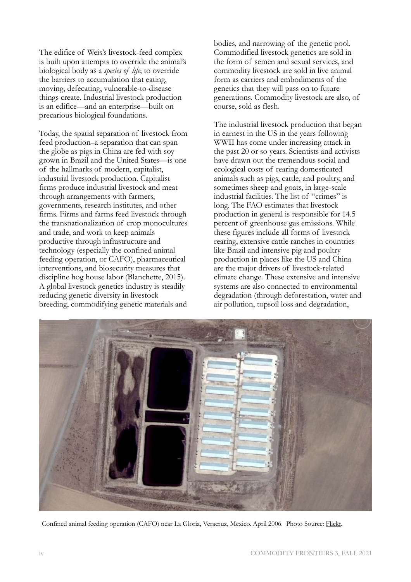The edifice of Weis's livestock-feed complex is built upon attempts to override the animal's biological body as a *species of life*; to override the barriers to accumulation that eating, moving, defecating, vulnerable-to-disease things create. Industrial livestock production is an edifice—and an enterprise—built on precarious biological foundations.

Today, the spatial separation of livestock from feed production–a separation that can span the globe as pigs in China are fed with soy grown in Brazil and the United States—is one of the hallmarks of modern, capitalist, industrial livestock production. Capitalist firms produce industrial livestock and meat through arrangements with farmers, governments, research institutes, and other firms. Firms and farms feed livestock through the transnationalization of crop monocultures and trade, and work to keep animals productive through infrastructure and technology (especially the confined animal feeding operation, or CAFO), pharmaceutical interventions, and biosecurity measures that discipline hog house labor (Blanchette, 2015). A global livestock genetics industry is steadily reducing genetic diversity in livestock breeding, commodifying genetic materials and

bodies, and narrowing of the genetic pool. Commodified livestock genetics are sold in the form of semen and sexual services, and commodity livestock are sold in live animal form as carriers and embodiments of the genetics that they will pass on to future generations. Commodity livestock are also, of course, sold as flesh.

The industrial livestock production that began in earnest in the US in the years following WWII has come under increasing attack in the past 20 or so years. Scientists and activists have drawn out the tremendous social and ecological costs of rearing domesticated animals such as pigs, cattle, and poultry, and sometimes sheep and goats, in large-scale industrial facilities. The list of "crimes" is long. The FAO estimates that livestock production in general is responsible for 14.5 percent of greenhouse gas emissions. While these figures include all forms of livestock rearing, extensive cattle ranches in countries like Brazil and intensive pig and poultry production in places like the US and China are the major drivers of livestock-related climate change. These extensive and intensive systems are also connected to environmental degradation (through deforestation, water and air pollution, topsoil loss and degradation,



Confined animal feeding operation (CAFO) near La Gloria, Veracruz, Mexico. April 2006. Photo Source: [Flickr.](https://www.flickr.com/photos/skytruth/3489433872)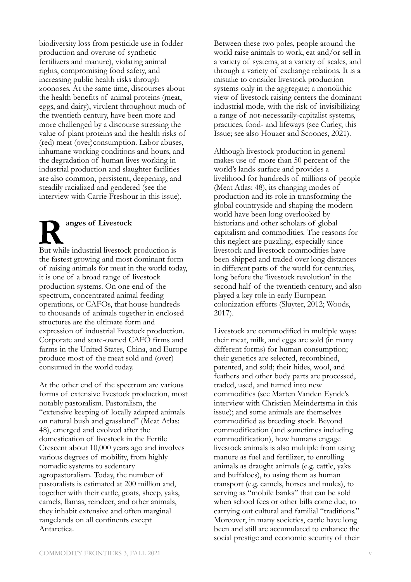biodiversity loss from pesticide use in fodder production and overuse of synthetic fertilizers and manure), violating animal rights, compromising food safety, and increasing public health risks through zoonoses. At the same time, discourses about the health benefits of animal proteins (meat, eggs, and dairy), virulent throughout much of the twentieth century, have been more and more challenged by a discourse stressing the value of plant proteins and the health risks of (red) meat (over)consumption. Labor abuses, inhumane working conditions and hours, and the degradation of human lives working in industrial production and slaughter facilities are also common, persistent, deepening, and steadily racialized and gendered (see the interview with Carrie Freshour in this issue).

**Ranges of Livestock**<br>
But while industrial livestock production is

the fastest growing and most dominant form of raising animals for meat in the world today, it is one of a broad range of livestock production systems. On one end of the spectrum, concentrated animal feeding operations, or CAFOs, that house hundreds to thousands of animals together in enclosed structures are the ultimate form and expression of industrial livestock production. Corporate and state-owned CAFO firms and farms in the United States, China, and Europe produce most of the meat sold and (over) consumed in the world today.

At the other end of the spectrum are various forms of extensive livestock production, most notably pastoralism. Pastoralism, the "extensive keeping of locally adapted animals on natural bush and grassland" (Meat Atlas: 48), emerged and evolved after the domestication of livestock in the Fertile Crescent about 10,000 years ago and involves various degrees of mobility, from highly nomadic systems to sedentary agropastoralism. Today, the number of pastoralists is estimated at 200 million and, together with their cattle, goats, sheep, yaks, camels, llamas, reindeer, and other animals, they inhabit extensive and often marginal rangelands on all continents except Antarctica.

Between these two poles, people around the world raise animals to work, eat and/or sell in a variety of systems, at a variety of scales, and through a variety of exchange relations. It is a mistake to consider livestock production systems only in the aggregate; a monolithic view of livestock raising centers the dominant industrial mode, with the risk of invisibilizing a range of not-necessarily-capitalist systems, practices, food- and lifeways (see Curley, this Issue; see also Houzer and Scoones, 2021).

Although livestock production in general makes use of more than 50 percent of the world's lands surface and provides a livelihood for hundreds of millions of people (Meat Atlas: 48), its changing modes of production and its role in transforming the global countryside and shaping the modern world have been long overlooked by historians and other scholars of global capitalism and commodities. The reasons for this neglect are puzzling, especially since livestock and livestock commodities have been shipped and traded over long distances in different parts of the world for centuries, long before the 'livestock revolution' in the second half of the twentieth century, and also played a key role in early European colonization efforts (Sluyter, 2012; Woods, 2017).

Livestock are commodified in multiple ways: their meat, milk, and eggs are sold (in many different forms) for human consumption; their genetics are selected, recombined, patented, and sold; their hides, wool, and feathers and other body parts are processed, traded, used, and turned into new commodities (see Marten Vanden Eynde's interview with Christien Meindertsma in this issue); and some animals are themselves commodified as breeding stock. Beyond commodification (and sometimes including commodification), how humans engage livestock animals is also multiple from using manure as fuel and fertilizer, to enrolling animals as draught animals (e.g. cattle, yaks and buffaloes), to using them as human transport (e.g. camels, horses and mules), to serving as "mobile banks" that can be sold when school fees or other bills come due, to carrying out cultural and familial "traditions." Moreover, in many societies, cattle have long been and still are accumulated to enhance the social prestige and economic security of their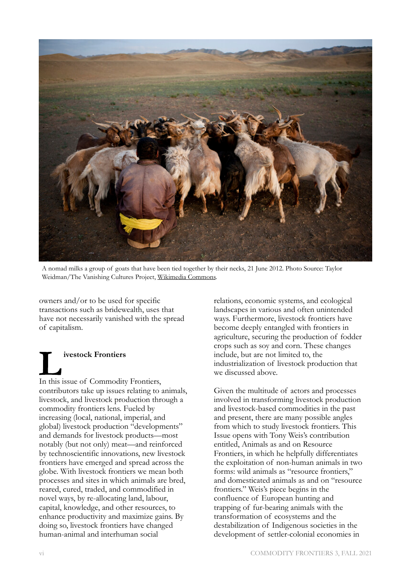

A nomad milks a group of goats that have been tied together by their necks, 21 June 2012. Photo Source: Taylor Weidman/The Vanishing Cultures Project, [Wikimedia Commons.](https://commons.wikimedia.org/wiki/File:Mongolia_103.JPG)

owners and/or to be used for specific transactions such as bridewealth, uses that have not necessarily vanished with the spread of capitalism.

# In this issue of Commodity Frontiers,

contributors take up issues relating to animals, livestock, and livestock production through a commodity frontiers lens. Fueled by increasing (local, national, imperial, and global) livestock production "developments" and demands for livestock products—most notably (but not only) meat—and reinforced by technoscientific innovations, new livestock frontiers have emerged and spread across the globe. With livestock frontiers we mean both processes and sites in which animals are bred, reared, cured, traded, and commodified in novel ways, by re-allocating land, labour, capital, knowledge, and other resources, to enhance productivity and maximize gains. By doing so, livestock frontiers have changed human-animal and interhuman social

relations, economic systems, and ecological landscapes in various and often unintended ways. Furthermore, livestock frontiers have become deeply entangled with frontiers in agriculture, securing the production of fodder crops such as soy and corn. These changes include, but are not limited to, the industrialization of livestock production that we discussed above.

Given the multitude of actors and processes involved in transforming livestock production and livestock-based commodities in the past and present, there are many possible angles from which to study livestock frontiers. This Issue opens with Tony Weis's contribution entitled, Animals as and on Resource Frontiers, in which he helpfully differentiates the exploitation of non-human animals in two forms: wild animals as "resource frontiers," and domesticated animals as and on "resource frontiers." Weis's piece begins in the confluence of European hunting and trapping of fur-bearing animals with the transformation of ecosystems and the destabilization of Indigenous societies in the development of settler-colonial economies in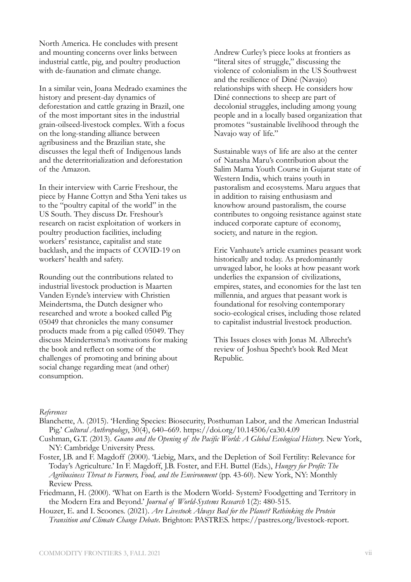North America. He concludes with present and mounting concerns over links between industrial cattle, pig, and poultry production with de-faunation and climate change.

In a similar vein, Joana Medrado examines the history and present-day dynamics of deforestation and cattle grazing in Brazil, one of the most important sites in the industrial grain-oilseed-livestock complex. With a focus on the long-standing alliance between agribusiness and the Brazilian state, she discusses the legal theft of Indigenous lands and the deterritorialization and deforestation of the Amazon.

In their interview with Carrie Freshour, the piece by Hanne Cottyn and Stha Yeni takes us to the "poultry capital of the world" in the US South. They discuss Dr. Freshour's research on racist exploitation of workers in poultry production facilities, including workers' resistance, capitalist and state backlash, and the impacts of COVID-19 on workers' health and safety.

Rounding out the contributions related to industrial livestock production is Maarten Vanden Eynde's interview with Christien Meindertsma, the Dutch designer who researched and wrote a booked called Pig 05049 that chronicles the many consumer products made from a pig called 05049. They discuss Meindertsma's motivations for making the book and reflect on some of the challenges of promoting and brining about social change regarding meat (and other) consumption.

Andrew Curley's piece looks at frontiers as "literal sites of struggle," discussing the violence of colonialism in the US Southwest and the resilience of Diné (Navajo) relationships with sheep. He considers how Diné connections to sheep are part of decolonial struggles, including among young people and in a locally based organization that promotes "sustainable livelihood through the Navajo way of life."

Sustainable ways of life are also at the center of Natasha Maru's contribution about the Salim Mama Youth Course in Gujarat state of Western India, which trains youth in pastoralism and ecosystems. Maru argues that in addition to raising enthusiasm and knowhow around pastoralism, the course contributes to ongoing resistance against state induced corporate capture of economy, society, and nature in the region.

Eric Vanhaute's article examines peasant work historically and today. As predominantly unwaged labor, he looks at how peasant work underlies the expansion of civilizations, empires, states, and economies for the last ten millennia, and argues that peasant work is foundational for resolving contemporary socio-ecological crises, including those related to capitalist industrial livestock production.

This Issues closes with Jonas M. Albrecht's review of Joshua Specht's book Red Meat Republic.

### *References*

- Blanchette, A. (2015). 'Herding Species: Biosecurity, Posthuman Labor, and the American Industrial Pig.' *Cultural Anthropology*, 30(4), 640–669. https://doi.org/10.14506/ca30.4.09
- Cushman, G.T. (2013). *Guano and the Opening of the Pacific World: A Global Ecological History.* New York, NY: Cambridge University Press.
- Foster, J.B. and F. Magdoff (2000). 'Liebig, Marx, and the Depletion of Soil Fertility: Relevance for Today's Agriculture.' In F. Magdoff, J.B. Foster, and F.H. Buttel (Eds.), *Hungry for Profit: The Agribusiness Threat to Farmers, Food, and the Environment* (pp. 43-60). New York, NY: Monthly Review Press.
- Friedmann, H. (2000). 'What on Earth is the Modern World- System? Foodgetting and Territory in the Modern Era and Beyond.' *Journal of World-Systems Research* 1(2): 480-515.
- Houzer, E. and I. Scoones. (2021). *Are Livestock Always Bad for the Planet? Rethinking the Protein Transition and Climate Change Debate*. Brighton: PASTRES. https://pastres.org/livestock-report.